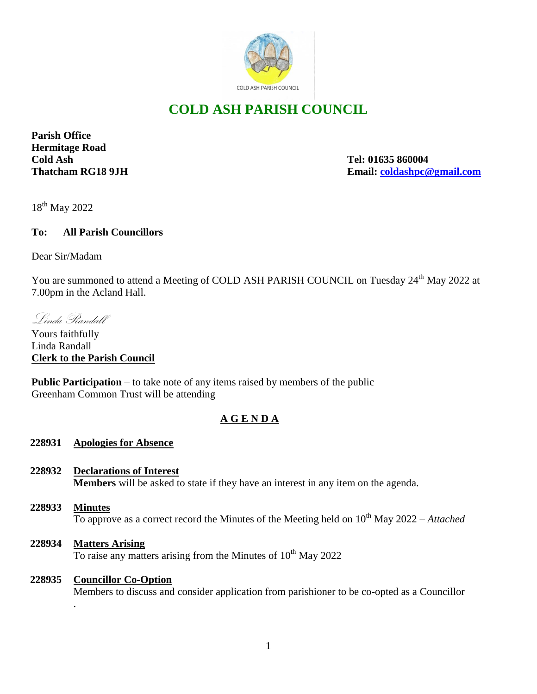

# **COLD ASH PARISH COUNCIL**

**Parish Office Hermitage Road Cold Ash Tel: 01635 860004**

**Thatcham RG18 9JH Email: [coldashpc@gmail.com](mailto:coldashpc@gmail.com)**

18<sup>th</sup> May 2022

# **To: All Parish Councillors**

Dear Sir/Madam

You are summoned to attend a Meeting of COLD ASH PARISH COUNCIL on Tuesday 24<sup>th</sup> May 2022 at 7.00pm in the Acland Hall.

Linda Randall

Yours faithfully Linda Randall **Clerk to the Parish Council** 

**Public Participation** – to take note of any items raised by members of the public Greenham Common Trust will be attending

# **A G E N D A**

# **228931 Apologies for Absence**

- **228932 Declarations of Interest Members** will be asked to state if they have an interest in any item on the agenda.
- **228933 Minutes** To approve as a correct record the Minutes of the Meeting held on  $10^{th}$  May 2022 – *Attached*
- **228934 Matters Arising** To raise any matters arising from the Minutes of 10<sup>th</sup> May 2022

### **228935 Councillor Co-Option**

.

Members to discuss and consider application from parishioner to be co-opted as a Councillor